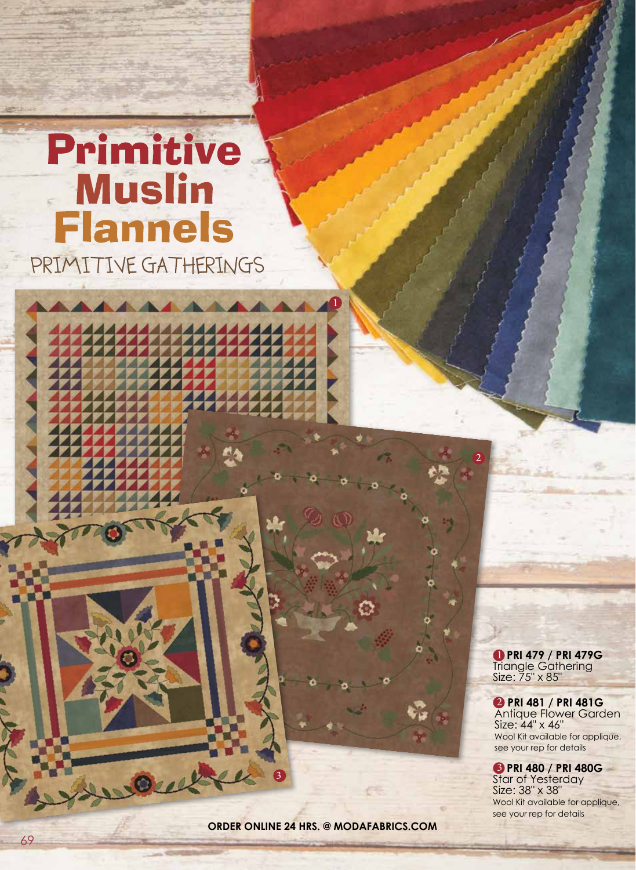## Primitive Muslin **Flannels** PRIMITIVE GATHERINGS



wow

 **PRI 479 / PRI 479G**  Triangle Gathering Size: 75" x 85"  $\overline{1}$ 

2

 **PRI 481 / PRI 481G**  Antique Flower Garden Size: 44" x 46" Wool Kit available for applique, see your rep for details 2

 **PRI 480 / PRI 480G**  3 Star of Yesterday Size: 38" x 38" Wool Kit available for applique, see your rep for details

**order online 24 hrs. @ modafabrics.com**

3